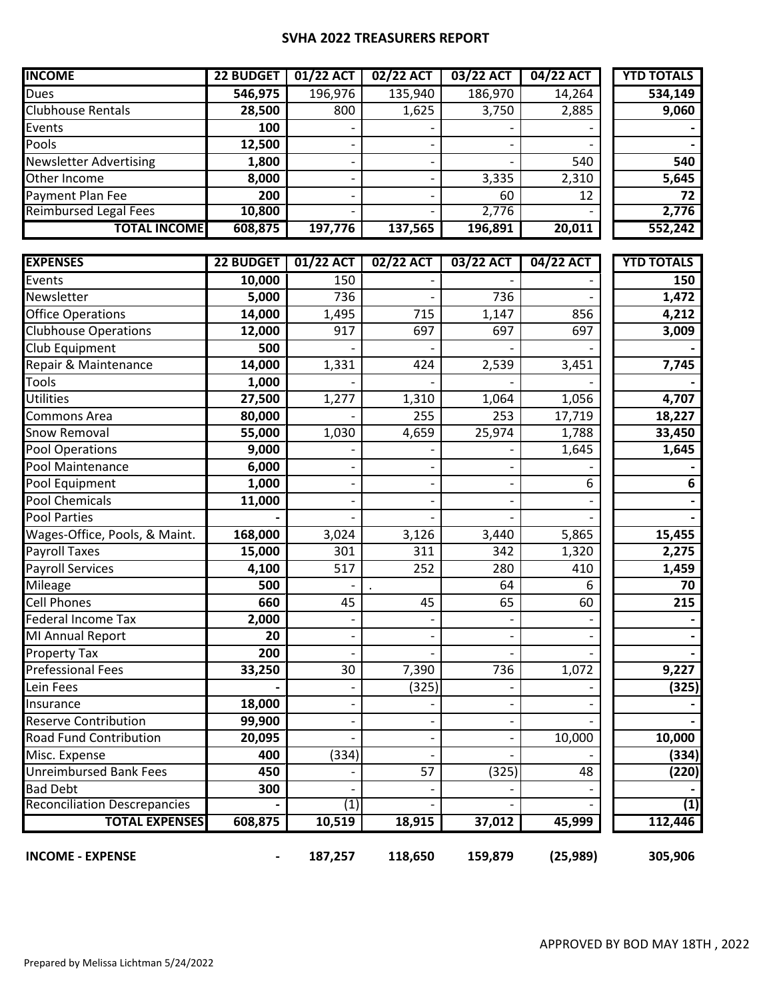## **SVHA 2022 TREASURERS REPORT**

| <b>INCOME</b>                 | 22 BUDGET | 01/22 ACT                | 02/22 ACT | 03/22 ACT | 04/22 ACT | <b>YTD TOTALS</b> |
|-------------------------------|-----------|--------------------------|-----------|-----------|-----------|-------------------|
| <b>Dues</b>                   | 546,975   | 196,976                  | 135,940   | 186,970   | 14,264    | 534,149           |
| <b>Clubhouse Rentals</b>      | 28,500    | 800                      | 1,625     | 3,750     | 2,885     | 9,060             |
| Events                        | 100       | $\overline{\phantom{0}}$ |           |           |           |                   |
| Pools                         | 12,500    | $\overline{\phantom{0}}$ |           |           |           |                   |
| <b>Newsletter Advertising</b> | 1,800     | -                        |           |           | 540       | 540               |
| Other Income                  | 8,000     | $\overline{\phantom{a}}$ |           | 3,335     | 2,310     | 5,645             |
| Payment Plan Fee              | 200       |                          |           | 60        | 12        | 72                |
| <b>Reimbursed Legal Fees</b>  | 10,800    | $\overline{\phantom{0}}$ |           | 2,776     |           | 2,776             |
| <b>TOTAL INCOME</b>           | 608,875   | 197,776                  | 137,565   | 196,891   | 20,011    | 552,242           |

| <b>EXPENSES</b>                     | <b>22 BUDGET</b> | 01/22 ACT                | 02/22 ACT          | 03/22 ACT | 04/22 ACT | <b>YTD TOTALS</b> |
|-------------------------------------|------------------|--------------------------|--------------------|-----------|-----------|-------------------|
| Events                              | 10,000           | 150                      |                    |           |           | 150               |
| Newsletter                          | 5,000            | 736                      |                    | 736       |           | 1,472             |
| <b>Office Operations</b>            | 14,000           | 1,495                    | 715                | 1,147     | 856       | 4,212             |
| <b>Clubhouse Operations</b>         | 12,000           | 917                      | 697                | 697       | 697       | 3,009             |
| <b>Club Equipment</b>               | 500              |                          |                    |           |           |                   |
| Repair & Maintenance                | 14,000           | 1,331                    | 424                | 2,539     | 3,451     | 7,745             |
| Tools                               | 1,000            |                          |                    |           |           |                   |
| <b>Utilities</b>                    | 27,500           | 1,277                    | 1,310              | 1,064     | 1,056     | 4,707             |
| Commons Area                        | 80,000           |                          | 255                | 253       | 17,719    | 18,227            |
| Snow Removal                        | 55,000           | 1,030                    | $\overline{4,659}$ | 25,974    | 1,788     | 33,450            |
| <b>Pool Operations</b>              | 9,000            |                          |                    |           | 1,645     | 1,645             |
| Pool Maintenance                    | 6,000            |                          |                    |           |           |                   |
| Pool Equipment                      | 1,000            | $\overline{\phantom{0}}$ |                    |           | 6         | 6                 |
| <b>Pool Chemicals</b>               | 11,000           |                          |                    |           |           |                   |
| <b>Pool Parties</b>                 |                  |                          |                    |           |           |                   |
| Wages-Office, Pools, & Maint.       | 168,000          | 3,024                    | 3,126              | 3,440     | 5,865     | 15,455            |
| <b>Payroll Taxes</b>                | 15,000           | 301                      | 311                | 342       | 1,320     | 2,275             |
| <b>Payroll Services</b>             | 4,100            | 517                      | 252                | 280       | 410       | 1,459             |
| Mileage                             | 500              |                          |                    | 64        | 6         | 70                |
| <b>Cell Phones</b>                  | 660              | 45                       | 45                 | 65        | 60        | 215               |
| Federal Income Tax                  | 2,000            |                          |                    |           |           |                   |
| MI Annual Report                    | 20               | $\overline{\phantom{0}}$ |                    |           |           |                   |
| <b>Property Tax</b>                 | 200              |                          |                    |           |           |                   |
| <b>Prefessional Fees</b>            | 33,250           | 30                       | 7,390              | 736       | 1,072     | 9,227             |
| Lein Fees                           |                  |                          | (325)              |           |           | (325)             |
| Insurance                           | 18,000           | $\overline{\phantom{0}}$ |                    |           |           |                   |
| <b>Reserve Contribution</b>         | 99,900           |                          |                    |           |           |                   |
| Road Fund Contribution              | 20,095           |                          |                    |           | 10,000    | 10,000            |
| Misc. Expense                       | 400              | (334)                    |                    |           |           | (334)             |
| <b>Unreimbursed Bank Fees</b>       | 450              |                          | 57                 | (325)     | 48        | (220)             |
| <b>Bad Debt</b>                     | 300              |                          |                    |           |           |                   |
| <b>Reconciliation Descrepancies</b> |                  | (1)                      |                    |           |           | (1)               |
| <b>TOTAL EXPENSES</b>               | 608,875          | 10,519                   | 18,915             | 37,012    | 45,999    | 112,446           |
| <b>INCOME - EXPENSE</b>             |                  | 187,257                  | 118,650            | 159,879   | (25, 989) | 305,906           |